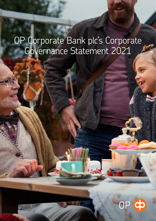# OP Corporate Bank plc's Corporate Governance Statement 2021

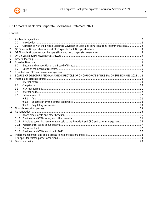

## OP Corporate Bank plc's Corporate Governance Statement 2021

## Contents

| 1  |                                                                                             |                                                                                               |  |  |  |
|----|---------------------------------------------------------------------------------------------|-----------------------------------------------------------------------------------------------|--|--|--|
|    | 1.1                                                                                         |                                                                                               |  |  |  |
|    | 1.2                                                                                         | Compliance with the Finnish Corporate Governance Code, and deviations from recommendations2   |  |  |  |
| 2  |                                                                                             |                                                                                               |  |  |  |
| 3  |                                                                                             |                                                                                               |  |  |  |
| 4  |                                                                                             |                                                                                               |  |  |  |
| 5  |                                                                                             |                                                                                               |  |  |  |
| 6  |                                                                                             |                                                                                               |  |  |  |
|    | 6.1                                                                                         |                                                                                               |  |  |  |
|    | 6.2                                                                                         |                                                                                               |  |  |  |
| 7  |                                                                                             |                                                                                               |  |  |  |
| 8  | BOARDS OF DIRECTORS AND MANAGING DIRECTORS OF OP CORPORATE BANK'S MAJOR SUBSIDIARIES 2021 8 |                                                                                               |  |  |  |
| 9  |                                                                                             |                                                                                               |  |  |  |
|    | 9.1                                                                                         |                                                                                               |  |  |  |
|    | 9.2                                                                                         |                                                                                               |  |  |  |
|    | 9.3                                                                                         |                                                                                               |  |  |  |
|    | 9.4                                                                                         |                                                                                               |  |  |  |
|    | 9.5                                                                                         |                                                                                               |  |  |  |
|    |                                                                                             | 9.5.1                                                                                         |  |  |  |
|    |                                                                                             | 9.5.2                                                                                         |  |  |  |
|    |                                                                                             | 9.5.3                                                                                         |  |  |  |
| 10 |                                                                                             |                                                                                               |  |  |  |
| 11 |                                                                                             |                                                                                               |  |  |  |
|    | 11.1                                                                                        |                                                                                               |  |  |  |
|    |                                                                                             |                                                                                               |  |  |  |
|    |                                                                                             | 11.3 Principles governing remuneration paid to the President and CEO and other management  16 |  |  |  |
|    |                                                                                             |                                                                                               |  |  |  |
|    |                                                                                             |                                                                                               |  |  |  |
|    |                                                                                             |                                                                                               |  |  |  |
| 12 |                                                                                             |                                                                                               |  |  |  |
| 13 |                                                                                             |                                                                                               |  |  |  |
| 14 |                                                                                             |                                                                                               |  |  |  |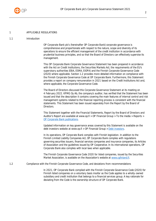

#### <span id="page-2-0"></span>1 APPLICABLE REGULATIONS

## <span id="page-2-1"></span>1.1 Introduction

OP Corporate Bank plc's (hereinafter OP Corporate Bank) corporate governance is comprehensive and proportionate with respect to the nature, scope and diversity of its operations to ensure the efficient management of the credit institution in accordance with prudential business principles, and so that the Board of Directors can effectively supervise its management.

This OP Corporate Bank Corporate Governance Statement has been prepared in accordance with the Act on Credit Institutions, the Securities Markets Act, the requirements of the EU's supervisory authorities (EBA, ESMA, EIOPA) and the Finnish Corporate Governance Code (2020) where applicable. Section 1.2 provides more detailed information on compliance with the Finnish Corporate Governance Code at OP Corporate Bank. Furthermore, this Statement provides a report on company remuneration in 2021 based on the Credit Institutions Act and, where applicable, the Corporate Governance Code.

The Board of Directors discussed this Corporate Governance Statement at its meeting on 4 February 2022. KPMG Oy Ab, the company's auditor, has verified that the Statement has been issued and that the description it contains covering the main features of internal control and risk management systems related to the financial reporting process is consistent with the financial statements. This Statement has been issued separately from the Report by the Board of Directors.

This Statement together with the Financial Statements, Report by the Board of Directors and Auditor's Report are available at www.op.fi > OP Financial Group > To the media > Reports > [OP Corporate Bank publications.](https://www.op.fi/web/raportit/op-corporate-bank-publications)

Updated information on key governance areas covered by this Statement is available on the debt investors website at www.op.fi > OP Financial Group > [Debt investors.](https://www.op.fi/op-financial-group/debt-investors)

In its operations, OP Corporate Bank complies with Finnish legislation. In addition to the Finnish Limited Liability Companies Act, OP Corporate Bank complies with regulations governing securities issuers, financial services companies and insurance companies, its Articles of Association and the guidelines issued by OP Cooperative. In its international operations, OP Corporate Bank also complies with local laws when applicable.

The Finnish Corporate Governance Code 2020 for listed companies, issued by the Securities Market Association, is available on the Association's website at [www.cgfinland.fi](http://www.cgfinland.fi/).

<span id="page-2-2"></span>1.2 Compliance with the Finnish Corporate Governance Code, and deviations from recommendations

In 2021, OP Corporate Bank complied with the Finnish Corporate Governance Code (2020) for Finnish listed companies on a voluntary basis insofar as the Code applies to a wholly-owned subsidiary and credit institution that belongs to a financial services group. A key rationale for deviating from the Code is the ownership structure of OP Corporate Bank.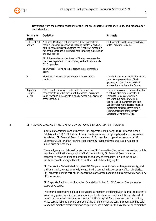

| Recommen<br>dation             | <b>Deviations</b>                                                                                                                                                                                                                                                               | Rationale                                                                                                                                                                                                                                                                                                                                  |  |
|--------------------------------|---------------------------------------------------------------------------------------------------------------------------------------------------------------------------------------------------------------------------------------------------------------------------------|--------------------------------------------------------------------------------------------------------------------------------------------------------------------------------------------------------------------------------------------------------------------------------------------------------------------------------------------|--|
| 1, 2, 3, 4, 10<br>and $22$     | A General Meeting is not organised but the shareholders<br>make a unanimous decision as stated in chapter 5, section 1<br>of the Limited Liability Companies Act. A notice of meeting is<br>not sent, neither are the minutes of the meeting published on<br>the op.fi website. | OP Cooperative is the only shareholder<br>of OP Corporate Bank plc.                                                                                                                                                                                                                                                                        |  |
|                                | All of the members of the Board of Directors are executive<br>members dependent on the company and/or its shareholder,<br>OP Cooperative.                                                                                                                                       |                                                                                                                                                                                                                                                                                                                                            |  |
|                                | The General Meeting does not discuss the remuneration<br>policy.                                                                                                                                                                                                                |                                                                                                                                                                                                                                                                                                                                            |  |
| 8                              | The Board does not comprise representatives of both<br>genders.                                                                                                                                                                                                                 | The aim is for the Board of Directors to<br>comprise representatives of both<br>genders, and the company seeks to<br>achieve this objective in the future.                                                                                                                                                                                 |  |
| Reporting<br>require-<br>ments | OP Corporate Bank plc complies with the reporting<br>requirements stated in the Finnish Corporate Governance<br>Code insofar as they apply to a wholly-owned subsidiary and<br>credit institution.                                                                              | The deviations concern information that<br>is not available with respect to OP<br>Corporate Bank plc, or which is<br>irrelevant due to the ownership<br>structure of OP Corporate Bank plc.<br>See above for more detailed rationale<br>concerning deviations from certain<br>recommendations of the Finnish<br>Corporate Governance Code. |  |

## Deviations from the recommendations of the Finnish Corporate Governance Code, and rationale for such deviations

## <span id="page-3-0"></span>2 OP FINANCIAL GROUP'S STRUCTURE AND OP CORPORATE BANK GROUP'S STRUCTURE

In terms of operations and ownership, OP Corporate Bank belongs to OP Financial Group. Established in 1902, OP Financial Group is a financial services group based on a cooperative foundation. OP Financial Group is made up of 121 member cooperative banks (as at 31 December 2021) and their central cooperative (OP Cooperative) as well as a number of subsidiaries and affiliates.

The amalgamation of deposit banks comprises OP Cooperative (the central cooperative) and its member credit institutions, such as OP Corporate Bank, OP Financial Group member cooperative banks and financial institutions and service companies in which the abovementioned institutions jointly hold more than half of the voting rights.

OP Cooperative Consolidated comprises OP Cooperative, which acts as the parent entity, and entities majority-owned or wholly-owned by the parent institution or any of its subsidiaries. OP Corporate Bank is part of OP Cooperative Consolidated and is a subsidiary wholly owned by OP Cooperative.

OP Corporate Bank acts as the central financial institution for OP Financial Group member cooperative banks.

The central cooperative is obliged to support its member credit institution in order to prevent it from being placed into liquidation and is liable for its member credit institution's debts which cannot be paid using the member credit institution's capital. Each member credit institution, for its part, is liable to pay a proportion of the amount which the central cooperative has paid to another member credit institution as part of support action or to a creditor of such member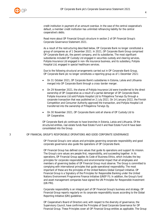

credit institution in payment of an amount overdue. In the case of the central cooperative's default, a member credit institution has unlimited refinancing liability for the central cooperative's debts.

Read more about OP Financial Group's structure in section 2 of OP Financial Group's Corporate Governance Statement 2021.

As a result of the restructuring described below, OP Corporate Bank no longer constituted a group of companies as of 1 December 2021. In 2021, OP Corporate Bank Group comprised OP Corporate Bank plc, the parent company, and its subsidiaries. The most significant subsidiaries included OP Custody Ltd engaged in securities custody and clearing services, Pohjola Insurance Ltd engaged in non-life insurance business, and its subsidiary, Pohjola Hospital Ltd, engaged in special healthcare services.

Due to the following structural arrangements carried out in OP Corporate Bank Group, OP Corporate Bank plc no longer constitutes a reporting group as of 1 December 2021:

- On 31 October 2021, OP Corporate Bank's subsidiaries in Estonia, Latvia and Lithuania merged into OP Corporate Bank through a cross-border merger.
- On 29 November 2021, the shares of Pohjola Insurance Ltd were transferred to the direct ownership of OP Cooperative as a result of a partial demerger of OP Corporate Bank. Pohiola Insurance Ltd sold Pohiola Hospital Ltd to Pihlajalinna Terveys Oy through a corporate transaction that was published on 2 July 2021. On 14 January 2022, the Finnish Competition and Consumer Authority approved the transaction, and Pohjola Hospital Ltd transferred into the ownership of Pihlajalinna Terveys Oy.
- On 30 November 2021, OP Corporate Bank sold all shares of OP Custody Ltd to OP Cooperative.

OP Corporate Bank plc continues to have branches in Estonia, Latvia and Lithuania. Of the structured entities, real estate funds Real Estate Fund II and Real Estate Fund III have been consolidated into the Group.

#### <span id="page-4-0"></span>3 OP FINANCIAL GROUP'S RESPONSIBLE OPERATIONS AND GOOD CORPORATE GOVERNANCE

OP Financial Group's core values and principles governing corporate responsibility and good corporate governance also guide the operations of OP Corporate Bank.

OP Financial Group has defined core values that guide its operations and support its mission. The Group's core values are people first, responsibility, and succeeding together. In its operations, OP Financial Group applies its Code of Business Ethics, which includes the key principles for corporate responsibility and environmental impact that all employees and members of governing bodies of OP Financial Group must observe. The Group is committed to complying with international principles that guide operational responsibility. The most important of these are the principles of the United Nations Global Compact initiative. OP Financial Group is a Signatory of the Principles for Responsible Banking under the United Nations Environment Programme Finance Initiative (UNEP FI). In addition, the Group's fund and asset management companies have signed the UN Principles for Responsible Investment (UN PRI).

Corporate responsibility is an integral part of OP Financial Group's business and strategy. OP Financial Group reports regularly on its corporate responsibility issues according to the Global Reporting Initiative (GRI) guidelines.

OP Cooperative's Board of Directors and, with respect to the diversity of governance, the Supervisory Council, have confirmed the Principles of Good Corporate Governance for OP Financial Group. These Principles cover all OP Financial Group entities as applicable. The Group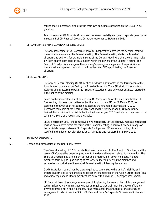

entities may, if necessary, also draw up their own guidelines expanding on the Group-wide guidelines.

Read more about OP Financial Group's corporate responsibility and good corporate governance in section 3 of OP Financial Group's Corporate Governance Statement 2021.

## <span id="page-5-0"></span>4 OP CORPORATE BANK'S GOVERNANCE STRUCTURE

The only shareholder of OP Corporate Bank, OP Cooperative, exercises the decision-making power of shareholders at the General Meeting. The General Meeting elects the Board of Directors and auditors, for example. Instead of the General Meeting, a shareholder may make a written shareholder decision on a matter within the powers of the General Meeting. The Board of Directors is in charge of the company's strategic management. Responsibility for operational management rests with the President and CEO appointed by the Board of Directors.

## <span id="page-5-1"></span>5 GENERAL MEETING

The Annual General Meeting (AGM) must be held within six months of the termination of the financial year on a date specified by the Board of Directors. The AGM shall discuss matters assigned to it in accordance with the Articles of Association and any other business referred to in the notice of the meeting.

Based on the shareholder's written decision, OP Corporate Bank plc's only shareholder, OP Cooperative, discussed the matters within the remit of the AGM on 22 March 2021, as specified in the Articles of Association: it adopted the Financial Statements for 2020, discharged members of the Board of Directors and the President and CEO from liability, decided that no dividend be distributed for the financial year 2020 and elected members to the company's Board of Directors and the auditor.

On 23 September 2021, the company's only shareholder, OP Cooperative, made a shareholder decision on a matter within the remit of the General Meeting, whereby it decided to approve the partial demerger between OP Corporate Bank plc and OP Insurance Holding Ltd as specified in the demerger plan signed on 2 July 2021 and registered on 8 July 2021.

#### <span id="page-5-2"></span>6 BOARD OF DIRECTORS

<span id="page-5-3"></span>6.1 Election and composition of the Board of Directors

The General Meeting of OP Corporate Bank elects members to the Board of Directors, and the parent OP Cooperative prepares proposals to the General Meeting related to the election. The Board of Directors has a minimum of four and a maximum of seven members. A Board member's term begins upon closing of the General Meeting electing the member and terminates upon closing of the Annual General Meeting following the election.

Credit institutions' board members are required to demonstrate the kind of reliability and professionalism and to fulfil the fit and proper criteria specified in the Act on Credit Institutions and official regulations. Board members are subject to a regular Fit & Proper assessment.

OP Financial Group has a long-term approach to planning the composition of its management bodies. Effective work in management bodies requires that their members have sufficiently diverse expertise, skills and experience. Read more about the principles of the diversity of management bodies in section 3.3 of OP Financial Group's Corporate Governance Statement 2021.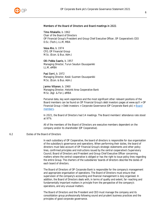

## Members of the Board of Directors and Board meetings in 2021

Timo Ritakallio, b. 1962 Chair of the Board of Directors

OP Financial Group's President and Group Chief Executive Officer, OP Cooperative's CEO D.Sc. (Tech.), LL.M, MBA

Vesa Aho, b. 1974 CFO, OP Financial Group M.Sc. (Econ. & Bus. Adm.)

Olli-Pekka Saario, b. 1957 Managing Director, Turun Seudun Osuuspankki LL.M, eMBA

Pasi Sorri, b. 1972 Managing Director, Keski-Suomen Osuuspankki M.Sc. (Econ. & Bus. Adm.)

Jarmo Viitanen, b. 1960

Managing Director, Helsinki Area Cooperative Bank M.Sc. (Agr. & For.), eMBA

Personal data, key work experience and the most significant other relevant positions of the Board members can be found on OP Financial Group's debt investors pages at www.op.fi > OP Financial Group > Debt investors > Corporate Governance (OP Corporate Bank plc) > [Board](https://www.op.fi/op-financial-group/debt-investors/corporate-governance-op-corporate-bank-plc/board-of-directors/board-members) [members.](https://www.op.fi/op-financial-group/debt-investors/corporate-governance-op-corporate-bank-plc/board-of-directors/board-members)

In 2021, the Board of Directors had 14 meetings. The Board members' attendance rate stood at 97%.

All of the members of the Board of Directors are executive members dependent on the company and/or its shareholder (OP Cooperative).

<span id="page-6-0"></span>6.2 Duties of the Board of Directors

In each subsidiary of OP Cooperative, the board of directors is responsible for due organisation of the subsidiary's governance and operations. When performing their duties, the board of directors must take account of OP Financial Group's strategic statements and other policy lines, confirmed principles and instructions issued by the central cooperative's Supervisory Council, Board of Directors and President and Group Chief Executive Officer concerning matters where the central cooperative is obliged or has the right to issue policy lines regarding the entire Group. The charters of the subsidiaries' boards of directors describe the duties of each board of directors.

The Board of Directors of OP Corporate Bank is responsible for the company's management and appropriate organisation of operations. The Board of Directors must ensure that supervision of the company's accounting and financial management is duly organised. In addition, the Board of Directors deals with, in terms of quality and extent, far-reaching and fundamentally important matters in principle from the perspective of the company's operations, and any unusual matters.

The Board of Directors and the President and CEO must manage the company and its consolidation group professionally following sound and prudent business practices and the principles of good corporate governance.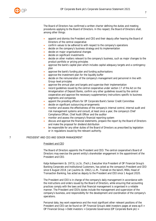

The Board of Directors has confirmed a written charter defining the duties and meeting procedures applying to the Board of Directors. In this respect, the Board of Directors shall, among other things:

- appoint and dismiss the President and CEO and their deputy after hearing the Board of Directors of the central cooperative
- confirm values to be adhered to with respect to the company's operations
- decide on the company's business strategy and its implementation
- decide on major organisational changes
- decide on significant investments
- decide on other matters relevant to the company's business, such as major changes to the product portfolio or pricing principles
- approve the bank's capital plan which includes capital adequacy targets and a contingency plan
- approve the bank's funding plan and funding authorisations
- approve the investment plan for the liquidity buffer
- decide on the remuneration of the company's management and personnel in line with Group-level principles
- approve the annual plan and targets and supervise their implementation
- record guidelines issued by the central cooperative under section 17 of the Act on the Amalgamation of Deposit Banks, confirm any other guidelines issued by the central cooperative and approve the necessary supplementary instructions specific to business segments and companies
- appoint the presiding officers for OP Corporate Bank's Senior Credit Committee
- decide on significant outsourcing arrangements
- monitor and assess the effectiveness of the company's internal control, internal audit and risk management systems and consult, at least once a year, the company's Chief Compliance Officer, Chief Audit Officer and the auditor
- monitor and assess the company's financial reporting system
- discuss and approve the financial statements, prepare the report by the Board of Directors and make the proposal for dividend distribution
- be responsible for any other duties of the Board of Directors as prescribed by legislation or in regulations issued by the relevant authority.

## <span id="page-7-0"></span>7 PRESIDENT AND CEO AND SENIOR MANAGEMENT

#### President and CEO

The Board of Directors appoints the President and CEO. The central cooperative's Board of Directors may exercise the parent entity's shareholder engagement in the appointment of the President and CEO.

Katja Keitaanniemi (b. 1973), Lic.Sc. (Tech.), Executive Vice President of OP Financial Group's Banking Corporate and Institutional Customers, has acted as the company's President and CEO since 6 August 2018. Jari Jaulimo (b. 1962), LL.M., Trained on the bench, MBA, Head of Transaction Banking, has acted as deputy to the President and CEO since 1 August 2020.

The President and CEO is in charge of the company's daily management in accordance with the instructions and orders issued by the Board of Directors, while ensuring that accounting practices comply with the laws and that financial management is organised in a reliable manner. The President and CEO's duties include the management and supervision of the company's business, and responsibility for the development and coordination of the company's operations.

Personal data, key work experience and the most significant other relevant positions of the President and CEO can be found on OP Financial Group's debt investors pages at www.op.fi > OP Financial Group > Debt investors > Corporate Governance (OP Corporate Bank plc) >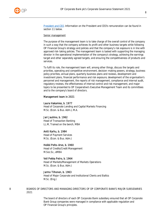

[President and CEO.](https://www.op.fi/op-financial-group/debt-investors/corporate-governance-op-corporate-bank-plc/president-and-ceo) Information on the President and CEO's remuneration can be found in section 11 below.

#### Senior management

The purpose of the management team is to take charge of the overall control of the company in such a way that the company achieves its profit and other business targets while following OP Financial Group's strategy and policies and that the company's risk exposure is in line with approved risk-taking policies. The management team is tasked with supporting the managing director in the operational implementation of the company's strategy, achieving the earnings target and other separately agreed targets, and ensuring the competitiveness of products and services.

To fulfil its role, the management team will, among other things, discuss the targets and priorities, operating and competitive environment, decision-making powers, strategy, business policy priorities, annual plans, quarterly business plans and reviews, development and investment plans, financial performance and risk exposure, development of the organisation's personnel and management, the reports of risk management, compliance and internal audit, regulatory reviews, the effectiveness of internal control and risk management, and major topics to be presented to OP Cooperative's Executive Management Team and its committees and to the company's board of directors.

## Management team in 2021

#### Laura Hakamies, b. 1977

Head of Corporate Lending and Capital Markets Financing M.Sc. (Econ. & Bus. Adm.), M.A.

#### Jari Jaulimo, b. 1962

Head of Transaction Banking LL.M, Trained on the bench, MBA

#### Antti Karhu, b. 1984

Head of Payment Services M.Sc. (Econ. & Bus. Adm.)

#### Heikki Pelto-Arvo, b. 1960

Head of Credits/Credit Management M.Soc.Sc., eMBA

#### Veli Pekka Petro, b. 1964

Head of Markets/Management of Markets Operations M.Sc. (Econ. & Bus. Adm.)

#### Jarmo Tiihonen, b. 1963

Head of Major Corporate and Institutional Clients and Baltics M.Sc. (Eng.)

<span id="page-8-0"></span>8 BOARDS OF DIRECTORS AND MANAGING DIRECTORS OF OP CORPORATE BANK'S MAJOR SUBSIDIARIES 2021

> The board of directors of each OP Corporate Bank subsidiary ensured that all OP Corporate Bank Group companies were managed in compliance with applicable regulation and OP Financial Group's principles.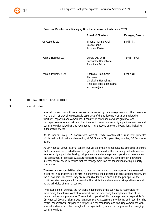

|                       | <b>Board of Directors</b>                                                                                 | <b>Managing Director</b> |
|-----------------------|-----------------------------------------------------------------------------------------------------------|--------------------------|
| OP Custody Ltd        | Tiihonen Jarmo, Chair<br>Lauha Janne<br>Timonen Mikko                                                     | Sakki Kirsi              |
| Pohjola Hospital Ltd  | Lehtilä Olli, Chair<br>Länsisalmi Hannakaisa<br>Puustinen Pekka                                           | Torkki Markus            |
| Pohjola Insurance Ltd | Ritakallio Timo, Chair<br>Aho Vesa<br>Länsisalmi Hannakaisa<br>Reimasto-Heiskanen Jaana<br>Vilpponen Jani | Lehtilä Olli             |

## Boards of Directors and Managing Directors of major subsidiaries in 2021

#### <span id="page-9-0"></span>9 INTERNAL AND EXTERNAL CONTROL

#### <span id="page-9-1"></span>9.1 Internal control

Internal control is a continuous process implemented by the management and other personnel with the aim of providing reasonable assurance of the achievement of targets related to functions, reporting and compliance. It consists of continuous advance guidance and retrospective assurance tasks and functions, which seek to ensure high-quality operations and compliance with guidelines and regulations. These actions apply to all operations, including outsourced services.

At OP Financial Group, OP Cooperative's Board of Directors confirms the Group-level principles of internal control that are observed by all OP Financial Group entities, including OP Corporate Bank.

At OP Financial Group, internal control involves all of the internal guidance exercised to ensure that operations are directed towards targets. It includes all of the operating methods intended to ensure high-quality leadership, risk prevention and management, operational development, the assessment of profitability, accurate reporting and regulatory compliance in operations. Internal control seeks to ensure that the management lays the foundations for high-quality operations.

The roles and responsibilities related to internal control and risk management are arranged into three lines of defence. The first line of defence, the business and centralised functions, are the risk owners. Therefore, they are responsible for compliance with the principles of the confirmed risk management framework – the risk limits and moderate risk appetite – as well as the principles of internal control.

The second line of defence, the functions independent of the business, is responsible for maintaining the internal control framework and for monitoring the implementation of the related policies and procedures. The central cooperative's Risk Management is responsible for OP Financial Group's risk management framework, assessment, monitoring and reporting. The central cooperative's Compliance is responsible for monitoring and ensuring compliance with internal and external rules throughout the organisation, as well as the process for managing compliance risks.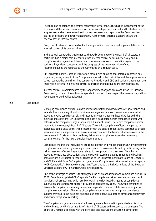

The third line of defence, the central cooperative's Internal Audit, which is independent of the business and the second line of defence, performs independent internal audit activities directed at governance, risk management and control processes and reports to the Group entities' boards of directors and other management. Furthermore, external auditors ensure the effectiveness of internal control.

Every line of defence is responsible for the organisation, adequacy and implementation of the internal control of its own activities.

In the central cooperative's governance, the Audit Committee of the Board of Directors, in particular, has a major role in ensuring that internal control performs effectively and in compliance with regulation. Internal control observations, recommendations given to the business line/division concerned and the progress of the implementation of such recommendations are reported to the Committee on a regular basis.

OP Corporate Bank's Board of Directors is tasked with ensuring that internal control is duly organised, taking account of the Group-wide internal control principles and the supplementary central cooperative guidelines. The company's President and CEO and senior management are responsible for ensuring internal control in practice and that duties are duly segregated.

Internal control is complemented by the opportunity of anyone employed by an OP Financial Group entity to report through an independent channel if they suspect that rules or regulations have been violated (whistleblowing).

#### <span id="page-10-0"></span>9.2 Compliance

Managing compliance risks forms part of internal control and good corporate governance and, as such, forms an integral part of business management and corporate culture. Almost all activities involve compliance risk, and responsibility for managing those risks lies with the business lines/divisions. OP Corporate Bank has a designated senior compliance officer who belongs to the compliance organisation of OP Financial Group. The senior compliance officer reports to the company's Board of Directors. The senior compliance officer is supported by designated compliance officers who together with the central cooperative's compliance officers assist executive management and senior management and the business lines/divisions in the management of risks associated with regulatory non-compliance, supervise regulatory compliance and, for their part, develop internal control.

Compliance ensures that regulations are complied with and implemented mainly by performing compliance supervision, by drawing up compliance risk assessments and by participating in the risk assessment of operating models related to new products and services. Compliance activities, compliance observations and the related recommendations issued to the business lines/divisions are subject to regular reporting to OP Corporate Bank plc's Board of Directors and OP Financial Group's Compliance organisation. Compliance activities must also be reported to OP Cooperative's Executive Management Team and to the Risk Committee of the Board of Directors as part of OP Financial Group level reporting.

One of the strategic priorities is to strengthen the risk management and compliance culture. In 2021, Compliance updated OP Corporate Bank's compliance risk assessment and AML and sanctions risk assessment, which are key tools in the risk-based targeting of compliance supervision and compliance support provided to business divisions. The Group continued to develop its compliance operating models and expanded the use of data analytics as part of compliance supervision. The focus of compliance operations was to improve compliance support provided to the business divisions, use data analysis as part of compliance supervision and clarify compliance reporting.

The Compliance organisation annually draws up a compliance action plan which is discussed and confirmed by OP Corporate Bank's Board of Directors with respect to the company. The Board of Directors also deals with the principles and instructions governing compliance.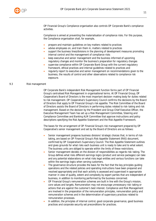

OP Financial Group's Compliance organisation also controls OP Corporate Bank's compliance activities.

Compliance is aimed at preventing the materialisation of compliance risks. For this purpose, the Compliance organisation shall, for example,

- prepare and maintain guidelines on key matters related to practices
- advise employees on, and train them in, matters related to practices
- support the business lines/divisions in the planning of development measures promoting internal control and the management of compliance risks
- keep executive and senior management and the business informed of upcoming regulatory changes and monitor the business's preparation for regulatory changes
- supervise compliance within OP Corporate Bank Group with the current regulatory framework, ethical practices and internal guidelines related to practices and
- regularly report to executive and senior management on recommendations given to the business, the results of control and other observations related to compliance risk exposure.

#### <span id="page-11-0"></span>9.3 Risk management

OP Corporate Bank's independent Risk Management function forms part of OP Financial Group's centralised Risk Management in organisational terms. At OP Financial Group, OP Cooperative's Board of Directors is the most important decision-making body for duties related to risk management. OP Cooperative's Supervisory Council confirms the decisions by the Board of Directors that apply to OP Financial Group's risk appetite. The Risk Committee of the Board of Directors assists the Board of Directors in performing duties related to risk-taking and risk management. Based on the decision by the President and Group Chief Executive Officer, the Executive Management Team has set up a Risk Management Committee, Steering and Compliance Committee and Banking ALM Committee that approve instructions and policy descriptions specifying the Risk Appetite Statement and the Risk Appetite Framework.

The bases for the arrangement of OP Financial Group's risk management prepared by OP Cooperative's senior management and set by the Board of Directors are as follows:

- Senior management prepares business divisions' strategic choices that, in terms of risktaking, are based on OP Financial Group's Risk Appetite Statement (RAS) document, confirmed by OP Cooperative's Supervisory Council. The Risk Appetite Statement outlines and gives grounds for what risks each business unit is ready to take and to what extent. The business units are obliged to operate within the limits of these restrictions.
- Senior management decides on the division of responsibilities as regards risk-taking. The Group defines what risks different earnings logics (product and service packages) can take and any potential elaborations on what risks legal entities and various functions can take within the earnings logics when serving customers.
- The governance structure provides the basis for the fact that the key principles guiding operations and the related policies and operating instructions have been prepared and resolved appropriately and that each activity is assessed and supervised in appropriate manner in view of quality, extent and complexity by expert parties that are independent of business, in addition to monitoring performed by the business concerned.
- OP Financial Group's remuneration schemes are built in line with the Group's mission, core values and targets. Remuneration may not encourage unnecessary risk-taking or actions that are against the customer's best interest. Compliance and Risk Management are involved in the preparation of the remuneration principles, remuneration policy and remuneration schemes and in the determination of supervisory practices related to remuneration processes.
- In addition, the principles of internal control, good corporate governance, good business practices and corporate security set preconditions for practices.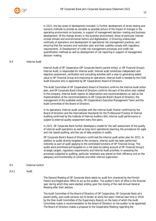

In 2021, the key areas of development included: 1) Further development of stress testing and scenario methods to provide as versatile as possible picture of the impact of changes in the operating environment on business, in support of management decision-making and business development. Of the change drivers in the business environment, those of particular interest include climate and environmental factors and digitalisation. 2) Ensuring undisturbed continuity of operations and development of operational risk management practices, and ensuring that the recovery and resolution plan and their usability comply with regulatory requirements. 3) Development of credit risk management processes and credit risk quantification methods as well as development of risk reporting in support of management decision-making.

## <span id="page-12-0"></span>9.4 Internal Audit

Internal Audit of OP Cooperative (OP Corporate Bank's parent entity), or OP Financial Group's Internal Audit, is responsible for internal audit. Internal audit constitutes independent and objective assessment, verification and consulting activities with a view to generating added value to OP Financial Group and improving its operations. Internal Audit is headed by the Chief Audit Executive who is appointed by OP Cooperative's Board of Directors.

The Audit Committee of OP Cooperative's Board of Directors confirms the Internal Audit action plan, and OP Corporate Bank's Board of Directors confirms the part of the action plan related to the company. Internal Audit reports its observations and recommendations as well as the implementation of the recommendations to OP Corporate Bank's Board of Directors, the management of the auditable entity, OP Cooperative's Executive Management Team and the Audit Committee of the Board of Directors.

In its operations, Internal Audit complies with the Internal Audit Charter confirmed by the Board of Directors and the International Standards for the Professional Practice of Internal Auditing confirmed by the Institute of Internal Auditors (IIA). Internal audit performance is subject to external quality assessment every five years.

In 2021, OP Corporate Bank further developed a model for the self-assessment of the quality of internal audit operations as well as long-term operational planning, the procedures for agile and risk-based auditing, and the use of data analytics in audits.

OP Corporate Bank's Board of Directors confirmed the internal audit action plan for 2021. In addition to audits directly targeted at the company, internal audit has been performed indirectly as part of audit applying to the centralised functions of OP Financial Group. The audits were prioritised and targeted on a risk basis by taking account of OP Financial Group's strategic targets, regulatory requirements and Internal Audit priorities. In assessing the processes subjected to auditing, particular emphasis was placed on their efficiency and on the adequacy and functionality of controls and other internal supervision.

## <span id="page-12-1"></span>9.5 External control

<span id="page-12-2"></span>9.5.1 Audit

The General Meeting of OP Corporate Bank elects an audit firm chartered by the Finnish Patent and Registration Office to act as the auditor. The auditor's term of office is the financial year during which they were elected, ending upon the closing of the next Annual General Meeting after their election.

The Audit Committee of the Board of Directors of OP Cooperative, OP Corporate Bank plc's parent entity, puts audit services out to tender at some five years' interval (last time in 2018 by the then Audit Committee of the Supervisory Board), on the basis of which the Audit Committee makes a recommendation to the Board of Directors on the auditor to be appointed. The Board of Directors makes a proposal to the Cooperative Meeting regarding the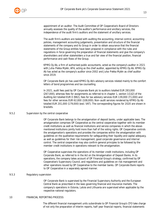

appointment of an auditor. The Audit Committee of OP Cooperative's Board of Directors annually assesses the quality of the auditor's performance and ancillary services, the independence of the audit firm's auditors and the statement of ancillary services.

The audit firm's auditors are tasked with auditing the accounting, internal control, accounting policies, management accounting judgements, presentation and structure of the financial statements of the company and its Group in order to obtain assurance that the financial statements of the Group entities have been prepared in compliance with the rules and regulations in force governing the preparation of financial statements and give the company's shareholders and other stakeholders a true and fair view of the financial position, financial performance and cash flows of the Group.

KPMG Oy Ab, a firm of authorised public accountants, acted as the company's auditor in 2021 with Juha-Pekka Mylén, APA, acting as the chief auditor, appointed by KPMG Oy Ab. KPMG Oy Ab has acted as the company's auditor since 2002 and Juha-Pekka Mylén as chief auditor since 2019.

OP Corporate Bank plc has used KPMG Oy Ab's advisory services related mainly to the comfort letters of bond programmes and tax counselling.

In 2021, audit fees paid by OP Corporate Bank plc to auditors totalled EUR 283,000 (267,000), whereas fees for assignments as referred to in chapter 1, section 1(1)(2) of the Auditing Act totalled EUR 0 (982), fees for tax advisory services EUR 139,000 (71,000) and fees for other services EUR 62,000 (108,000). Non-audit services rendered by KPMG Oy Ab totalled EUR 201,000 (179,000) (excl. VAT). The corresponding figures for 2020 are shown in brackets.

## <span id="page-13-0"></span>9.5.2 Supervision by the central cooperative

OP Corporate Bank belongs to the amalgamation of deposit banks, under applicable laws. The amalgamation comprises OP Cooperative as the central cooperative together with its member credit institutions as well as financial institutions and service companies in which the abovementioned institutions jointly hold more than half of the voting rights. OP Cooperative controls the amalgamation's operations and provides the companies within the amalgamation with guidelines on the qualitative requirements for safeguarding their liquidity and capital adequacy, as well as guidelines for their risk management, good corporate governance and internal control. The central cooperative may also confirm general principles to be followed by the member credit institutions in operations relevant to the amalgamation.

OP Cooperative supervises the operations of its member credit institutions, including OP Corporate Bank, as referred to in the Act on the Amalgamation of Deposit Banks. In its operations, the company takes account of OP Financial Group's strategy, confirmed by OP Cooperative's Supervisory Council, and regulations and guidelines on risk management and other operations issued by OP Cooperative to the member banks. OP Corporate Bank reports to OP Cooperative in a separately agreed manner.

#### <span id="page-13-1"></span>9.5.3 Regulatory supervision

OP Corporate Bank is supervised by the Financial Supervisory Authority and the European Central Bank as prescribed in the laws governing financial and insurance markets. The company's operations in Estonia, Latvia and Lithuania are supervised when applicable by the respective national regulators.

## <span id="page-13-2"></span>10 FINANCIAL REPORTING PROCESS

The different financial management units subordinate to OP Financial Group's CFO take charge of not only the preparation of interim reports, half-year financial reports, financial statements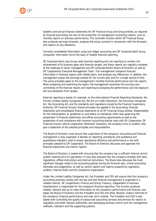bulletins and annual financial statements for OP Financial Group and Group entities, as required by financial accounting, but also of the production of management accounting reports, such as monthly reports on business performance. The Controller function within OP Financial Group also produces earnings forecasts, analyses the actual outcome in comparison with the forecasts, and reports on any deviations.

Correctly consolidated information using sub-ledger accounting and OP Corporate Bank Group companies' information forms the basis of reliable financial reporting.

OP Corporate Bank uses Group-wide financial reporting and risk reporting to monitor the achievement of its business goals and financial targets, and these reports are regularly reviewed at the meetings of senior management and OP Corporate Bank's Board of Directors as well as OP Cooperative's Executive Management Team. The management compares financial information in financial reports with related plans, and analyses any differences. In addition, the management assess the earnings outlook for the current year and for a longer period of time. The same principles apply to the management's monthly financial performance and risk reports. When preparing and examining the report, the management ascertains the accuracy and correctness of the financial results and reporting by analysing the performance and risk exposure and any deviations from targets.

External reporting is based, for example, on the International Financial Reporting Standards, the Finnish Limited Liability Companies Act, the Act on Credit Institutions, the Insurance Companies Act, the Accounting Act, and the standards and regulations issued by the Financial Supervisory Authority. OP Financial Group's shared principles are applied in the accounting, financial statements and consolidated financial statements of all OP Financial Group entities. Responsibility for the interpretation of, guidelines on and advice on standards, other laws governing the preparation of financial statements and official accounting requirements as well as the preparation of and compliance with common accounting policies rests with OP Cooperative, OP Financial Group's central cooperative. Whenever necessary, the company turns to auditors who give a statement of the selected principles and interpretations.

The Board of Directors must ensure that supervision of the company's accounting and financial management is duly organised. It decides on reporting, procedures and qualitative and quantitative indicators used to assess operational efficiency and performance in line with principles adopted by OP Cooperative. The Board of Directors discusses and approves the financial statements and interim reports.

The Board of Directors is tasked with ensuring that the company has a sufficient internal control system covering all of its operations. It must also evaluate how the company complies with laws, regulations, official instructions and internal instructions. The Board also discusses the most significant changes made to the accounting policies during the financial year, critical accounting estimates and judgements, as well as control reports and reports prepared by regulators, auditors, Internal Audit and the Compliance organisation.

Under the Limited Liability Companies Act, the President and CEO will ensure that the company's accounting practices comply with the law and that financial management is organised in a reliable manner. OP Cooperative's Finance and Group Treasury, independent of business lines/divisions, is responsible for the company's financial reporting. This function produces reliable, relevant and up-to-date information on the company's performance and finances, and keeps the Board of Directors and the President and CEO and other decision-makers informed of the company's financial performance and near-term outlook. The President and CEO is also tasked with controlling the quality of outsourced accounting services and services for reports to regulators and other relevant authorities, and developing business control and risk management methods, indicators and the supporting systems.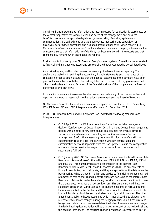

Compiling financial statements information and interim reports for publication is coordinated at the central cooperative consolidated level. The needs of the management and business lines/divisions as well as applicable legislation guide reporting. Reporting systems and communications are defined so as to enable appropriate monitoring and supervision of objectives, performance, operations and risk at all organisational levels. When reporting OP Corporate Bank's and its business lines' results and other confidential company information, the company ensures that information confidentiality has been mentioned in the reports and that confidentiality remains when distributing the reports.

Business control primarily uses OP Financial Group's shared systems. Operational duties related to financial and management accounting are coordinated at OP Cooperative Consolidated level.

As provided by law, auditors shall assess the accuracy of external financial reporting. The auditors are tasked with auditing the accounting, financial statements and governance of the company in order to obtain assurance that the financial statements of the company have been prepared in compliance with the rules and regulations in force and that they give owners and other stakeholders a true and fair view of the financial position of the company and its financial performance and cash flows.

In its audits, Internal Audit assesses the effectiveness and adequacy of the company's financial reporting, and reports these audits to the senior management and the Board of Directors.

OP Corporate Bank plc's financial statements were prepared in accordance with IFRS, applying IASs, IFRSs and SIC and IFRIC interpretations effective on 31 December 2021.

In 2021, OP Financial Group and OP Corporate Bank adopted the following standards and interpretations:

- On 27 April 2021, the IFRS Interpretations Committee published an agenda decision (Configuration or Customisation Costs in a Cloud Computing Arrangement) dealing with an issue of how costs should be accounted for when it comes to software produced as a cloud computing service (Software as a Service arrangement, SaaS). When assessing the accounting for the configuration or customisation costs in SaaS, the key issue is whether configuration and customisation service is separable from the SaaS proper. Cost in the configuration and customisation service is charged to an expense if the criterion for such separation is fulfilled.
- On 1 January 2021, OP Corporate Bank adopted a document entitled Interest Rate Benchmark Reform (Phase 2) that will amend IFRS 9, IAS 39 and IFRS 7, IFRS 4 and IFRS 16. These amendments are a continuation of the Interest Rate Benchmark Reform document (Phase 1) adopted in 2020. The amendments to Phase 2 brought two practical reliefs, and they are applied from the date when the benchmark rate has changed. The first one applies to financial instruments carried at amortised cost so that changing contractual cash flows due to the Interest Rate Benchmark Reform is treated by updating the effective interest rate, in which case the change does not cause a direct profit or loss. This amendment will have no significant effect on OP Corporate Bank because the majority of receivables and liabilities are linked to the Euribor and the Euribor is still a reference interest rate in use. Libor-linked liabilities and receivables are only small in number. The other amendment applies to hedge accounting which is not discontinued although the reference interest rate changes during the hedging relationship but the risk to be hedged and related cash flows are redetermined when the reference rate changes. Similarly, hedging documentation will be changed in respect of the hedged risk and the hedging instrument. The resulting change in valuation is presented as part of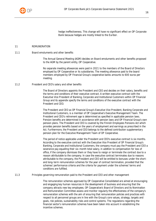

hedge ineffectiveness. This change will have no significant effect on OP Corporate Bank because hedges are mostly linked to the Euribor.

## 11 REMUNERATION

## 11.1 Board emoluments and other benefits

<span id="page-16-1"></span><span id="page-16-0"></span>The Annual General Meeting (AGM) decides on Board emoluments and other benefits proposed to the AGM by the parent entity, OP Cooperative.

No separate meeting allowances were paid in 2021 to the members of the Board of Directors employed by OP Cooperative or its subsidiaries. The meeting allowance paid to the board members employed by OP Financial Group's cooperative banks amounts to 600 euros per meeting.

## 11.2 President and CEO's salary and other benefits

<span id="page-16-2"></span>The Board of Directors appoints the President and CEO and decides on their salary, benefits and the terms and conditions of their executive contract. A written executive contract with the Executive Vice President of Banking, Corporate and Institutional Customers within OP Financial Group and its appendix specify the terms and conditions of the executive contract with the President and CEO.

The President and CEO as OP Financial Group's Executive Vice President, Banking Corporate and Institutional Customers, is a member of OP Cooperative's Executive Management Team. The President and CEO's retirement age is determined as specified in applicable pension laws. Pension benefits are determined in accordance with pension laws and OP Financial Group's own pension plans. The President and CEO is covered by the Finnish Employees Pensions Act which provides pension benefits based on the years of employment and earnings as prescribed in the Act. Furthermore, the President and CEO belongs to the defined contribution supplementary pension plan for the Executive Management Team of OP Cooperative.

The period of notice applicable under the President and CEO's executive contract is six months. According to the executive contract with the Executive Vice President of OP Financial Group's Banking, Corporate and Institutional Customers, the company must pay the President and CEO a severance pay equalling their six-month total salary, in addition to compensation for loss of office, if the company dismisses them or they have to resign or terminate the contract due to a reason attributable to the company. In case the executive contract terminates due to reasons attributable to the company, the President and CEO will be entitled to bonuses under the shortand long-term remuneration schemes for the year of contract termination, provided that the schemes' performance criteria and the criteria for payment under the schemes' terms and conditions are fulfilled.

11.3 Principles governing remuneration paid to the President and CEO and other management

<span id="page-16-3"></span>The remuneration schemes approved by OP Cooperative Consolidated are aimed at encouraging and engaging key human resources in the development of business and ensuring that the company attracts new key employees. OP Cooperative's Board of Directors and its Nomination and Remuneration Committee assess and monitor regularly the effectiveness of the company's remuneration schemes with the aim of ensuring that remuneration policies and practices with respect to all personnel groups are in line with the Group's core values, strategy, targets and goals, risk policies, sustainability risks and control systems. The regulations regarding the financial sector's remuneration schemes have been taken into account in establishing the incentive schemes.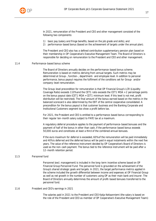

In 2021, remuneration of the President and CEO and other management consisted of the following two components:

- 1) basic pay (salary and fringe benefits, based on the job grade and skills), and
- 2) performance-based bonus (based on the achievement of targets under the annual plan).

The President and CEO also has a defined contribution supplementary pension plan based on their membership in OP Cooperative's Executive Management Team. The Board of Directors is responsible for deciding on remuneration to the President and CEO and other management.

## 11.4 Performance-based bonus scheme

<span id="page-17-0"></span>The Board of Directors annually decides on the performance-based bonus scheme. Remuneration is based on metrics deriving from annual targets. Such metrics may be determined at Group-, function-, department- and employee level. In addition to personal performance, bonus payout requires the fulfilment of the conditions set for Group- and/or company-level remuneration.

The Group-level precondition for remuneration is that OP Financial Group's LCR (Liquidity Coverage Ratio) exceeds 110% and the CET1 ratio exceeds the CET1 MDA + 2 percentage points on the bonus payout date (CET1 MDA = CET1 minimum level. If this level is not met, profit distribution will be restricted). The final amount of the bonus earned based on the metrics in the balanced scorecard is also determined by the EBT of the central cooperative consolidated. A precondition for the bonus payout is that customer business and the Banking Corporate and Institutional Customers segment too show a profit before tax.

For 2021, the President and CEO is entitled to a performance-based bonus corresponding to their regular ten-month salary subject to PAYE tax at a maximum.

A regulatory deferral procedure applies to the payment of performance-based bonuses and the payment of half of the bonus in other than cash, if the performance-based bonus exceeds 50,000 euros and constitutes at least a third of the combined annual bonuses.

If the euro maximum for deferral is exceeded, 60% of the remuneration will be paid immediately and 40% is deferred and the deferred bonus will be paid in equal instalments within the next five years. The value of the reference instrument decided by OP Cooperative's Board of Directors is used as the non-cash payment. The bonus tied to the reference instrument will be paid after a 12-month retention period.

## 11.5 Personnel fund

<span id="page-17-1"></span>Personnel (excl. management) is included in the long-term incentive scheme based on OP Financial Group Personnel Fund. The personnel fund is grounded on the achievement of the Group's shared strategic goals and targets. In 2021, the target performance metrics applied in the scheme included the growth differential between income and expenses at OP Financial Group as well as net growth in the number of customers using OP as their main bank and insurer. The Board of Directors annually determines the amount of profit-based bonuses transferred to the personnel fund.

#### 11.6 President and CEO's earnings in 2021

<span id="page-17-2"></span>The salaries paid in 2021 to the President and CEO Katja Keitaanniemi (the salary is based on the role of the President and CEO as member of OP Cooperative's Executive Management Team):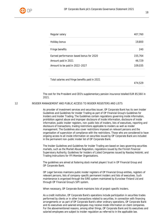

| Regular salary                                  | 407,760 |
|-------------------------------------------------|---------|
| Holiday bonus                                   | 19,800  |
| Fringe benefits                                 | 240     |
| Earned performance-based bonus for 2020         | 155,764 |
| Amount paid in 2021                             | 46,729  |
| Amount to be paid in 2022-2027                  | 109,035 |
|                                                 |         |
| Total salaries and fringe benefits paid in 2021 | 474.529 |

The cost for the President and CEO's supplementary pension insurance totalled EUR 85,560 in 2021.

12 INSIDER MANAGEMENT AND PUBLIC ACCESS TO INSIDER REGISTERS AND LISTS

<span id="page-18-0"></span>As provider of investment services and securities issuer, OP Corporate Bank has its own Insider Guidelines and Guidelines for Insider Trading as part of OP Financial Group's Guidelines for Insiders and Insider Trading. The Guidelines contain regulations governing inside information, prohibition against abuse and improper disclosure of inside information, disclosure of inside information, public insider registers, non-public lists of insiders, lists of executives, reporting and disclosure of transactions, trading restrictions applicable to insiders as well as insider management. The Guidelines also cover restrictions imposed on relevant persons and the organisation of supervision of compliance with the restrictions. Those who are considered to have ongoing access to all inside information on securities issued by OP Corporate Bank are included in the permanent non-public insider list of OP Corporate Bank.

The Insider Guidelines and Guidelines for Insider Trading are based on laws governing securities markets, such as the Market Abuse Regulation, regulations issued by the Finnish Financial Supervisory Authority, Guidelines for Insiders of Listed Companies issued by Nasdaq Helsinki, and Trading Instructions for FFI Member Organisations.

The guidelines are aimed at fostering stock market players' trust in OP Financial Group and OP Corporate Bank.

OP Legal Services maintains public insider registers of OP Financial Group entities, registers of relevant persons, lists of company-specific permanent insiders and lists of executives. Such maintenance is organised through the SIRE system maintained by Euroclear Finland Ltd and through OP Financial Group's SIPI system.

When necessary, OP Corporate Bank maintains lists of project-specific insiders.

As a credit institution, OP Corporate Bank's operations include participation in securities trades performed by clients or in other transactions related to securities. In connection with financing arrangements or as part of OP Corporate Bank's other ordinary operations, OP Corporate Bank and its executives and salaried employees may receive inside information on client companies. For the abovementioned reasons, among other things, OP Corporate Bank and its executives and salaried employees are subject to insider regulation as referred to in the applicable law.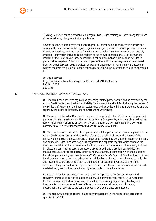

Training in insider issues is available on a regular basis. Such training will particularly take place at times following changes in insider guidelines.

Anyone has the right to access the public register of insider holdings and receive extracts and copies of the information in the register against a charge. However, a natural person's personal ID code and address and the name of a natural person other than the insider are not publicly available. Information included in the register of the relevant persons, the list of permanent insiders or the list of project-specific insiders is not publicly available, unlike that included in public insider registers. Extracts from and copies of the public insider register can be ordered from OP Legal Services, Legal Services for Wealth Management Private and SME Customers. Written requests for such information specifically describing the information should be submitted to:

OP Legal Services Legal Services for Wealth Management Private and SME Customers P.O. Box 1068 00013 OP

## 13 **PRINCIPLES FOR RELATED PARTY TRANSACTIONS**

<span id="page-19-0"></span>OP Financial Group observes regulations governing related party transactions as provided by the Act on Credit Institutions, the Limited Liability Companies Act and IAS 24 (including the decree of the Ministry of Finance on the financial statements and consolidated financial statements and the report by the board of directors, and the Accounting Ordinance).

OP Cooperative's Board of Directors has approved the principles for OP Financial Group related party lending and investments in the related party of a Group entity, which are observed by the following OP Financial Group entities: OP Corporate Bank plc, OP Mortgage Bank, OP Retail Customers plc, OP Asset Management Ltd and OP cooperative banks.

OP Corporate Bank has defined related parties and related party transactions as stipulated in the Act on Credit Institutions as well as in the reference provision included in the decree of the Ministry of Finance and the Accounting Ordinance as required by IAS 24. Information on persons and entities included in related parties is registered in a separate register which contains the identification details of these persons and entities, as well as the reason for them being included in related parties. Related party transactions are recorded, and there is a defined decisionmaking procedure for related party lending and investments. In connection with the guidelines for related party lending and investments, OP Corporate Bank's Board of Directors has confirmed the decision-making powers associated with such lending and investments. Related party lending and investments are approved either by the board of directors or by a separately defined decision-making body authorised by the board of directors. A board decision is always required if a related party loan or investment is not granted under normal loan terms.

Related party lending and investments are regularly reported to OP Corporate Bank and regularly controlled as part of compliance supervision. Persons responsible for OP Corporate Bank's compliance activities report any observations concerning related party lending and investments to the company's Board of Directors on an annual basis. In addition, any observations are reported to the central cooperative's Compliance organisation.

OP Financial Group entities report related party transactions in the notes to the accounts as specified in IAS 24.